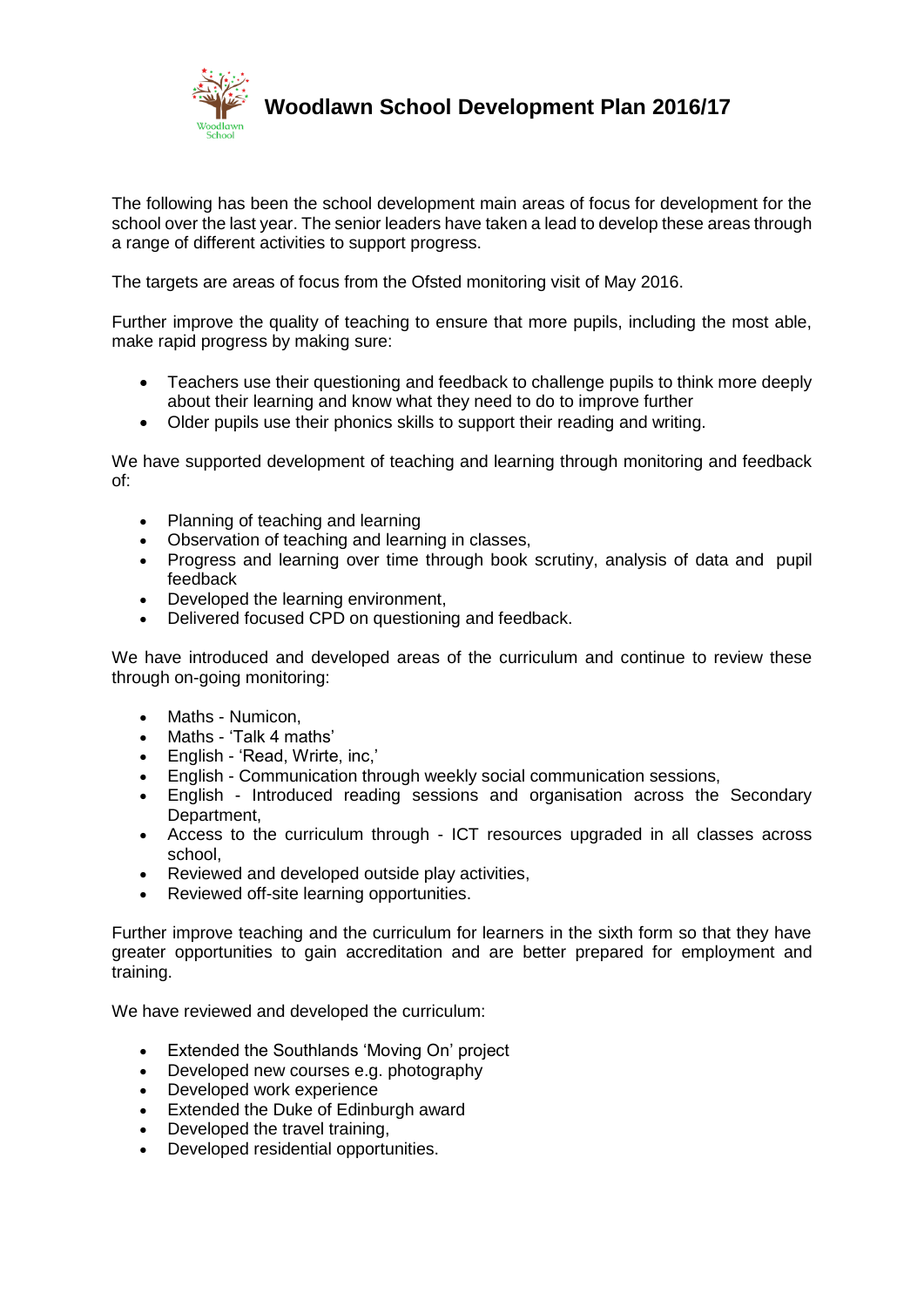

**Woodlawn School Development Plan 2016/17**

The following has been the school development main areas of focus for development for the school over the last year. The senior leaders have taken a lead to develop these areas through a range of different activities to support progress.

The targets are areas of focus from the Ofsted monitoring visit of May 2016.

Further improve the quality of teaching to ensure that more pupils, including the most able, make rapid progress by making sure:

- Teachers use their questioning and feedback to challenge pupils to think more deeply about their learning and know what they need to do to improve further
- Older pupils use their phonics skills to support their reading and writing.

We have supported development of teaching and learning through monitoring and feedback of:

- Planning of teaching and learning
- Observation of teaching and learning in classes.
- Progress and learning over time through book scrutiny, analysis of data and pupil feedback
- Developed the learning environment,
- Delivered focused CPD on questioning and feedback.

We have introduced and developed areas of the curriculum and continue to review these through on-going monitoring:

- Maths Numicon,
- Maths 'Talk 4 maths'
- English 'Read, Wrirte, inc,'
- English Communication through weekly social communication sessions,
- English Introduced reading sessions and organisation across the Secondary Department,
- Access to the curriculum through ICT resources upgraded in all classes across school,
- Reviewed and developed outside play activities,
- Reviewed off-site learning opportunities.

Further improve teaching and the curriculum for learners in the sixth form so that they have greater opportunities to gain accreditation and are better prepared for employment and training.

We have reviewed and developed the curriculum:

- Extended the Southlands 'Moving On' project
- Developed new courses e.g. photography
- Developed work experience
- Extended the Duke of Edinburgh award
- Developed the travel training,
- Developed residential opportunities.